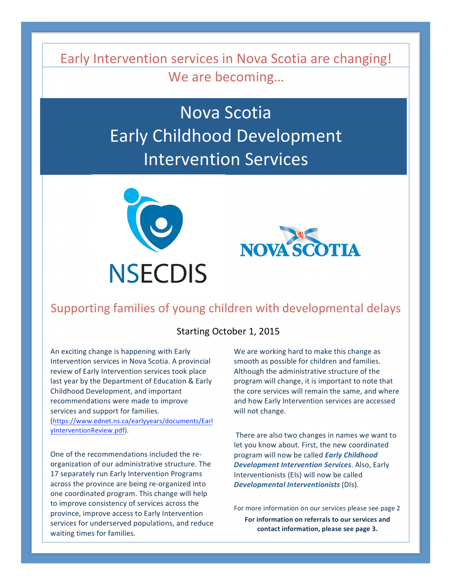Early Intervention services in Nova Scotia are changing! We are becoming…

> Nova Scotia Early Childhood Development Intervention Services





# Supporting families of young children with developmental delays

#### Starting October 1, 2015

An exciting change is happening with Early Intervention services in Nova Scotia. A provincial review of Early Intervention services took place last year by the Department of Education & Early Childhood Development, and important recommendations were made to improve services and support for families. (https://www.ednet.ns.ca/earlyyears/documents/Earl

yInterventionReview.pdf).

One of the recommendations included the re‐ organization of our administrative structure. The 17 separately run Early Intervention Programs across the province are being re‐organized into one coordinated program. This change will help to improve consistency of services across the province, improve access to Early Intervention services for underserved populations, and reduce waiting times for families.

We are working hard to make this change as smooth as possible for children and families. Although the administrative structure of the program will change, it is important to note that the core services will remain the same, and where and how Early Intervention services are accessed will not change.

There are also two changes in names we want to let you know about. First, the new coordinated program will now be called *Early Childhood Development Intervention Services*. Also, Early Interventionists (EIs) will now be called *Developmental Interventionists* (DIs).

For more information on our services please see page 2

**For information on referrals to our services and contact information, please see page 3.**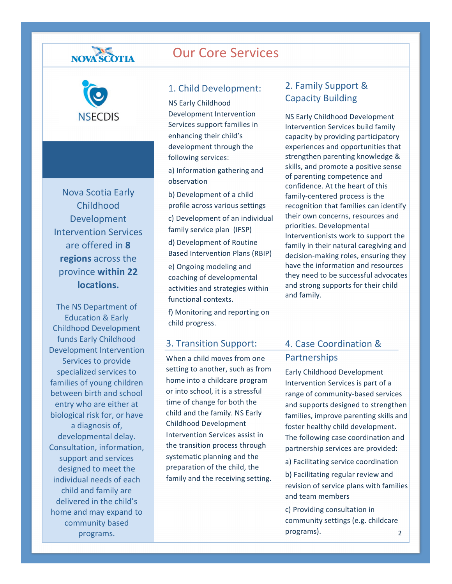# NOVA SCOTIA



Nova Scotia Early Childhood Development Intervention Services are offered in **8 regions** across the province **within 22 locations.**

The NS Department of Education & Early Childhood Development funds Early Childhood Development Intervention Services to provide specialized services to families of young children between birth and school entry who are either at biological risk for, or have a diagnosis of, developmental delay. Consultation, information, support and services designed to meet the individual needs of each child and family are delivered in the child's home and may expand to community based programs.

Our Core Services

#### 1. Child Development:

NS Early Childhood Development Intervention Services support families in enhancing their child's development through the following services:

a) Information gathering and observation

b) Development of a child profile across various settings c) Development of an individual family service plan (IFSP) d) Development of Routine Based Intervention Plans (RBIP)

e) Ongoing modeling and coaching of developmental activities and strategies within functional contexts.

f) Monitoring and reporting on child progress.

#### 3. Transition Support:

When a child moves from one setting to another, such as from home into a childcare program or into school, it is a stressful time of change for both the child and the family. NS Early Childhood Development Intervention Services assist in the transition process through systematic planning and the preparation of the child, the family and the receiving setting.

### 2. Family Support & Capacity Building

NS Early Childhood Development Intervention Services build family capacity by providing participatory experiences and opportunities that strengthen parenting knowledge & skills, and promote a positive sense of parenting competence and confidence. At the heart of this family‐centered process is the recognition that families can identify their own concerns, resources and priorities. Developmental Interventionists work to support the family in their natural caregiving and decision‐making roles, ensuring they have the information and resources they need to be successful advocates and strong supports for their child and family.

## 4. Case Coordination & Partnerships

Early Childhood Development Intervention Services is part of a range of community‐based services and supports designed to strengthen families, improve parenting skills and foster healthy child development. The following case coordination and partnership services are provided:

a) Facilitating service coordination

b) Facilitating regular review and revision of service plans with families and team members

2 c) Providing consultation in community settings (e.g. childcare programs).